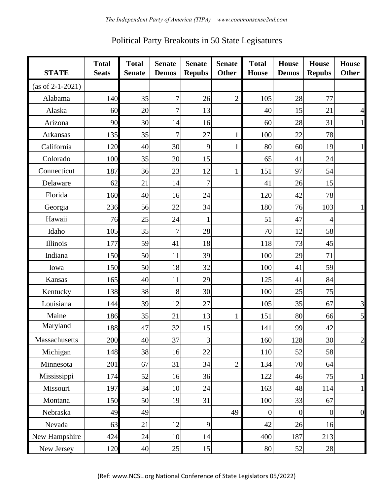| <b>STATE</b>       | <b>Total</b><br><b>Seats</b> | <b>Total</b><br><b>Senate</b> | <b>Senate</b><br><b>Demos</b> | <b>Senate</b><br><b>Repubs</b> | <b>Senate</b><br><b>Other</b> | <b>Total</b><br><b>House</b> | House<br><b>Demos</b> | <b>House</b><br><b>Repubs</b> | <b>House</b><br><b>Other</b> |
|--------------------|------------------------------|-------------------------------|-------------------------------|--------------------------------|-------------------------------|------------------------------|-----------------------|-------------------------------|------------------------------|
| $(as of 2-1-2021)$ |                              |                               |                               |                                |                               |                              |                       |                               |                              |
| Alabama            | 140                          | 35                            | $\overline{7}$                | 26                             | $\overline{2}$                | 105                          | 28                    | 77                            |                              |
| Alaska             | 60                           | 20                            | $\overline{7}$                | 13                             |                               | 40                           | 15                    | 21                            | $\overline{4}$               |
| Arizona            | 90                           | 30                            | 14                            | 16                             |                               | 60                           | 28                    | 31                            | $\mathbf{1}$                 |
| Arkansas           | 135                          | 35                            | $\overline{7}$                | 27                             | $\mathbf{1}$                  | 100                          | 22                    | 78                            |                              |
| California         | 120                          | 40                            | 30                            | 9                              | $\mathbf{1}$                  | 80                           | 60                    | 19                            | $\mathbf{1}$                 |
| Colorado           | 100                          | 35                            | 20                            | 15                             |                               | 65                           | 41                    | 24                            |                              |
| Connecticut        | 187                          | 36                            | 23                            | 12                             | $\mathbf{1}$                  | 151                          | 97                    | 54                            |                              |
| Delaware           | 62                           | 21                            | 14                            | 7                              |                               | 41                           | 26                    | 15                            |                              |
| Florida            | 160                          | 40                            | 16                            | 24                             |                               | 120                          | 42                    | 78                            |                              |
| Georgia            | 236                          | 56                            | 22                            | 34                             |                               | 180                          | 76                    | 103                           | $\mathbf{1}$                 |
| Hawaii             | 76                           | 25                            | 24                            | 1                              |                               | 51                           | 47                    | 4                             |                              |
| Idaho              | 105                          | 35                            | 7                             | 28                             |                               | 70                           | 12                    | 58                            |                              |
| Illinois           | 177                          | 59                            | 41                            | 18                             |                               | 118                          | 73                    | 45                            |                              |
| Indiana            | 150                          | 50                            | 11                            | 39                             |                               | 100                          | 29                    | 71                            |                              |
| Iowa               | 150                          | 50                            | 18                            | 32                             |                               | 100                          | 41                    | 59                            |                              |
| Kansas             | 165                          | 40                            | 11                            | 29                             |                               | 125                          | 41                    | 84                            |                              |
| Kentucky           | 138                          | 38                            | 8                             | 30                             |                               | 100                          | 25                    | 75                            |                              |
| Louisiana          | 144                          | 39                            | 12                            | 27                             |                               | 105                          | 35                    | 67                            | 3                            |
| Maine              | 186                          | 35                            | 21                            | 13                             | $\mathbf{1}$                  | 151                          | 80                    | 66                            | $\mathfrak{S}$               |
| Maryland           | 188                          | 47                            | 32                            | 15                             |                               | 141                          | 99                    | 42                            |                              |
| Massachusetts      | 200                          | 40                            | 37                            | $\overline{3}$                 |                               | 160                          | 128                   | 30                            | $\overline{c}$               |
| Michigan           | 148                          | 38                            | 16                            | 22                             |                               | 110                          | 52                    | 58                            |                              |
| Minnesota          | 201                          | 67                            | 31                            | 34                             | $\overline{2}$                | 134                          | 70                    | 64                            |                              |
| Mississippi        | 174                          | 52                            | 16                            | 36                             |                               | 122                          | 46                    | 75                            | $\mathbf{1}$                 |
| Missouri           | 197                          | 34                            | 10                            | 24                             |                               | 163                          | 48                    | 114                           | $\mathbf{1}$                 |
| Montana            | 150                          | 50                            | 19                            | 31                             |                               | 100                          | 33                    | 67                            |                              |
| Nebraska           | 49                           | 49                            |                               |                                | 49                            | $\boldsymbol{0}$             | $\overline{0}$        | $\vert 0 \vert$               | $\overline{0}$               |
| Nevada             | 63                           | 21                            | 12                            | $\overline{9}$                 |                               | 42                           | 26                    | 16                            |                              |
| New Hampshire      | 424                          | 24                            | 10                            | 14                             |                               | 400                          | 187                   | 213                           |                              |
| New Jersey         | 120                          | 40                            | 25                            | 15                             |                               | 80                           | 52                    | 28                            |                              |

Political Party Breakouts in 50 State Legisatures